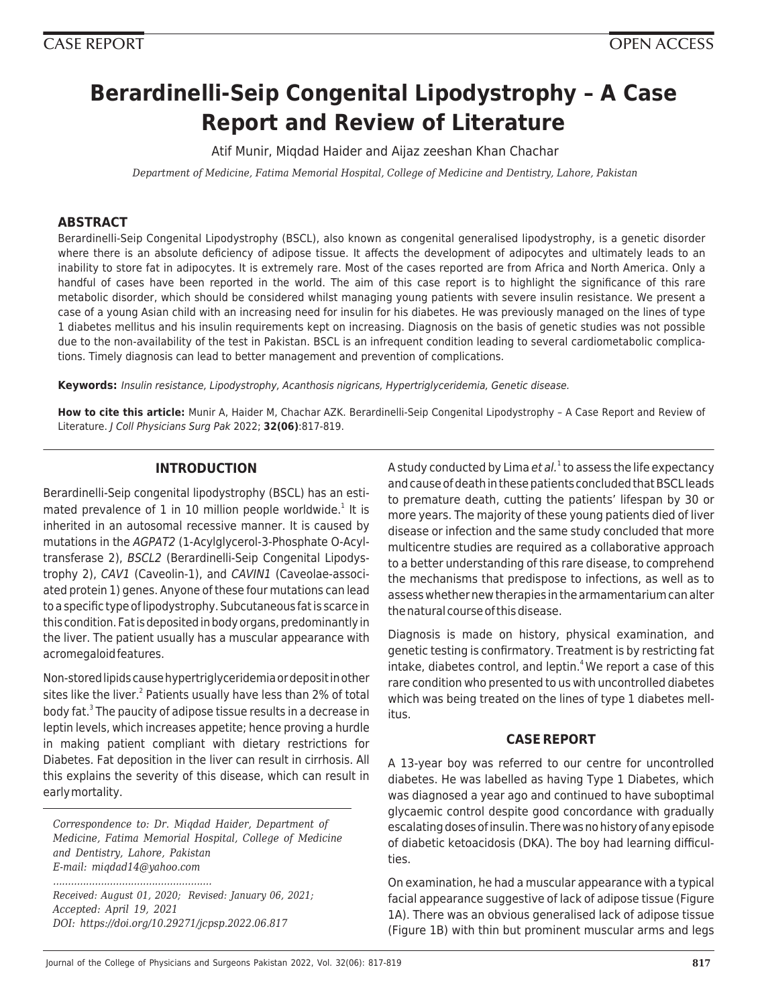# **Berardinelli-Seip Congenital Lipodystrophy – A Case Report and Review of Literature**

Atif Munir, Miqdad Haider and Aijaz zeeshan Khan Chachar

*Department of Medicine, Fatima Memorial Hospital, College of Medicine and Dentistry, Lahore, Pakistan*

# **ABSTRACT**

Berardinelli-Seip Congenital Lipodystrophy (BSCL), also known as congenital generalised lipodystrophy, is a genetic disorder where there is an absolute deficiency of adipose tissue. It affects the development of adipocytes and ultimately leads to an inability to store fat in adipocytes. It is extremely rare. Most of the cases reported are from Africa and North America. Only a handful of cases have been reported in the world. The aim of this case report is to highlight the significance of this rare metabolic disorder, which should be considered whilst managing young patients with severe insulin resistance. We present a case of a young Asian child with an increasing need for insulin for his diabetes. He was previously managed on the lines of type 1 diabetes mellitus and his insulin requirements kept on increasing. Diagnosis on the basis of genetic studies was not possible due to the non-availability of the test in Pakistan. BSCL is an infrequent condition leading to several cardiometabolic complications. Timely diagnosis can lead to better management and prevention of complications.

**Keywords:** Insulin resistance, Lipodystrophy, Acanthosis nigricans, Hypertriglyceridemia, Genetic disease.

**How to cite this article:** Munir A, Haider M, Chachar AZK. Berardinelli-Seip Congenital Lipodystrophy – A Case Report and Review of Literature. J Coll Physicians Surg Pak 2022; **32(06)**:817-819.

# **INTRODUCTION**

Berardinelli-Seip congenital lipodystrophy (BSCL) has an estimated prevalence of 1 in 10 million people worldwide. $<sup>1</sup>$  It is</sup> inherited in an autosomal recessive manner. It is caused by mutations in the AGPAT2 (1-Acylglycerol-3-Phosphate O-Acyltransferase 2), BSCL2 (Berardinelli-Seip Congenital Lipodystrophy 2), CAV1 (Caveolin-1), and CAVIN1 (Caveolae-associated protein 1) genes. Anyone of these four mutations can lead to a specific type of lipodystrophy. Subcutaneous fat is scarce in this condition. Fat is deposited in body organs, predominantly in the liver. The patient usually has a muscular appearance with acromegaloid features.

Non-stored lipids cause hypertriglyceridemia or deposit in other sites like the liver.<sup>2</sup> Patients usually have less than 2% of total body fat.<sup>3</sup> The paucity of adipose tissue results in a decrease in leptin levels, which increases appetite; hence proving a hurdle in making patient compliant with dietary restrictions for Diabetes. Fat deposition in the liver can result in cirrhosis. All this explains the severity of this disease, which can result in early mortality.

*Correspondence to: Dr. Miqdad Haider, Department of Medicine, Fatima Memorial Hospital, College of Medicine and Dentistry, Lahore, Pakistan E-mail: miqdad14@yahoo.com*

*Received: August 01, 2020; Revised: January 06, 2021; Accepted: April 19, 2021 DOI: https://doi.org/10.29271/jcpsp.2022.06.817*

*.....................................................*

A study conducted by Lima *et al.*<sup>1</sup> to assess the life expectancy and cause of death in these patients concluded that BSCL leads to premature death, cutting the patients' lifespan by 30 or more years. The majority of these young patients died of liver disease or infection and the same study concluded that more multicentre studies are required as a collaborative approach to a better understanding of this rare disease, to comprehend the mechanisms that predispose to infections, as well as to assess whether new therapies in the armamentarium can alter the natural course of this disease.

Diagnosis is made on history, physical examination, and genetic testing is confirmatory. Treatment is by restricting fat intake, diabetes control, and leptin.<sup>4</sup> We report a case of this rare condition who presented to us with uncontrolled diabetes which was being treated on the lines of type 1 diabetes mellitus.

# **CASE REPORT**

A 13-year boy was referred to our centre for uncontrolled diabetes. He was labelled as having Type 1 Diabetes, which was diagnosed a year ago and continued to have suboptimal glycaemic control despite good concordance with gradually escalating doses of insulin. There was no history of any episode of diabetic ketoacidosis (DKA). The boy had learning difficulties.

On examination, he had a muscular appearance with a typical facial appearance suggestive of lack of adipose tissue (Figure 1A). There was an obvious generalised lack of adipose tissue (Figure 1B) with thin but prominent muscular arms and legs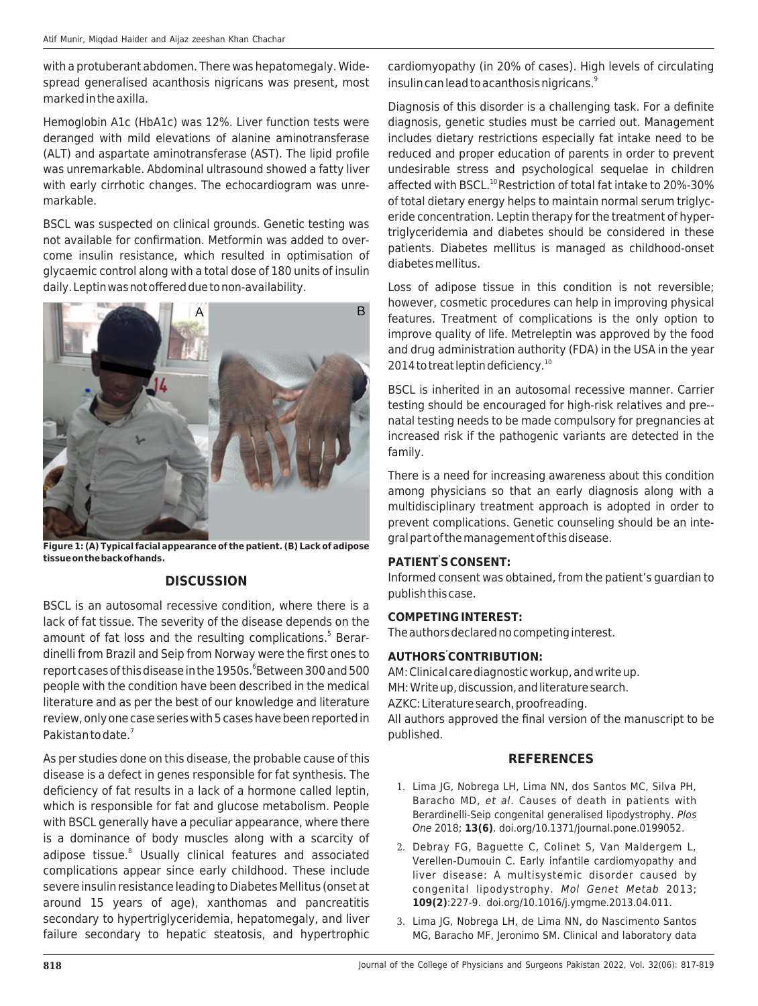with a protuberant abdomen. There was hepatomegaly. Widespread generalised acanthosis nigricans was present, most marked in the axilla.

Hemoglobin A1c (HbA1c) was 12%. Liver function tests were deranged with mild elevations of alanine aminotransferase (ALT) and aspartate aminotransferase (AST). The lipid profile was unremarkable. Abdominal ultrasound showed a fatty liver with early cirrhotic changes. The echocardiogram was unremarkable.

BSCL was suspected on clinical grounds. Genetic testing was not available for confirmation. Metformin was added to overcome insulin resistance, which resulted in optimisation of glycaemic control along with a total dose of 180 units of insulin daily. Leptin was not offered due to non-availability.



**Figure 1: (A) Typical facial appearance of the patient. (B) Lack of adipose tissue on the back of hands.**

# **DISCUSSION**

BSCL is an autosomal recessive condition, where there is a lack of fat tissue. The severity of the disease depends on the amount of fat loss and the resulting complications.<sup>5</sup> Berardinelli from Brazil and Seip from Norway were the first ones to report cases of this disease in the 1950s. <sup>6</sup>Between 300 and 500 people with the condition have been described in the medical literature and as per the best of our knowledge and literature review, only one case series with 5 cases have been reported in Pakistan to date.<sup>7</sup>

As per studies done on this disease, the probable cause of this disease is a defect in genes responsible for fat synthesis. The deficiency of fat results in a lack of a hormone called leptin, which is responsible for fat and glucose metabolism. People with BSCL generally have a peculiar appearance, where there is a dominance of body muscles along with a scarcity of adipose tissue.<sup>8</sup> Usually clinical features and associated complications appear since early childhood. These include severe insulin resistance leading to Diabetes Mellitus (onset at around 15 years of age), xanthomas and pancreatitis secondary to hypertriglyceridemia, hepatomegaly, and liver failure secondary to hepatic steatosis, and hypertrophic

cardiomyopathy (in 20% of cases). High levels of circulating insulin can lead to acanthosis nigricans.<sup>9</sup>

Diagnosis of this disorder is a challenging task. For a definite diagnosis, genetic studies must be carried out. Management includes dietary restrictions especially fat intake need to be reduced and proper education of parents in order to prevent undesirable stress and psychological sequelae in children affected with BSCL.<sup>10</sup> Restriction of total fat intake to 20%-30% of total dietary energy helps to maintain normal serum triglyceride concentration. Leptin therapy for the treatment of hypertriglyceridemia and diabetes should be considered in these patients. Diabetes mellitus is managed as childhood-onset diabetes mellitus.

Loss of adipose tissue in this condition is not reversible; however, cosmetic procedures can help in improving physical features. Treatment of complications is the only option to improve quality of life. Metreleptin was approved by the food and drug administration authority (FDA) in the USA in the year 2014 to treat leptin deficiency.<sup>10</sup>

BSCL is inherited in an autosomal recessive manner. Carrier testing should be encouraged for high-risk relatives and pre- natal testing needs to be made compulsory for pregnancies at increased risk if the pathogenic variants are detected in the family.

There is a need for increasing awareness about this condition among physicians so that an early diagnosis along with a multidisciplinary treatment approach is adopted in order to prevent complications. Genetic counseling should be an integral part of the management of this disease.

# **PATIENT' S CONSENT:**

Informed consent was obtained, from the patient's guardian to publish this case.

#### **COMPETING INTEREST:**

The authors declared no competing interest.

# **AUTHORS' CONTRIBUTION:**

AM: Clinical care diagnostic workup, and write up. MH: Write up, discussion, and literature search.

AZKC: Literature search, proofreading.

All authors approved the final version of the manuscript to be published.

# **REFERENCES**

- 1. Lima JG, Nobrega LH, Lima NN, dos Santos MC, Silva PH, Baracho MD, et al. Causes of death in patients with Berardinelli-Seip congenital generalised lipodystrophy. Plos One 2018; **13(6)**. doi.org/10.1371/journal.pone.0199052.
- 2. Debray FG, Baguette C, Colinet S, Van Maldergem L, Verellen-Dumouin C. Early infantile cardiomyopathy and liver disease: A multisystemic disorder caused by congenital lipodystrophy. Mol Genet Metab 2013; **109(2)**:227-9. doi.org/10.1016/j.ymgme.2013.04.011.
- 3. Lima JG, Nobrega LH, de Lima NN, do Nascimento Santos MG, Baracho MF, Jeronimo SM. Clinical and laboratory data